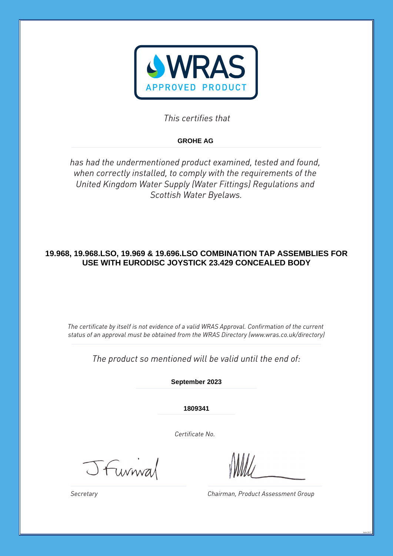

*This certifies that*

# **GROHE AG**

*has had the undermentioned product examined, tested and found, when correctly installed, to comply with the requirements of the United Kingdom Water Supply (Water Fittings) Regulations and Scottish Water Byelaws.*

# **19.968, 19.968.LSO, 19.969 & 19.696.LSO COMBINATION TAP ASSEMBLIES FOR USE WITH EURODISC JOYSTICK 23.429 CONCEALED BODY**

*The certificate by itself is not evidence of a valid WRAS Approval. Confirmation of the current status of an approval must be obtained from the WRAS Directory (www.wras.co.uk/directory)*

*The product so mentioned will be valid until the end of:*

**September 2023**

**1809341**

*Certificate No.*

JFunnal

*Chairman, Product Assessment Group*

June 2017

*Secretary*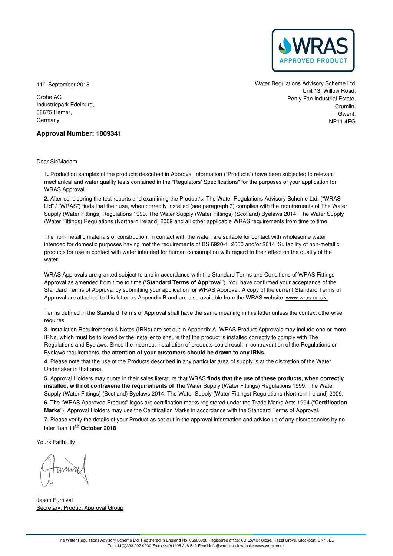

11<sup>th</sup> September 2018

Grohe AG Industriepark Edelburg, 58675 Hemer, Germany

Water Regulations Advisory Scheme Ltd. Unit 13, Willow Road, Pen y Fan Industrial Estate, Crumlin, Gwent NP11 4EG

# **Approval Number: 1809341**

Dear Sir/Madam

**1.** Production samples of the products described in Approval Information ("Products") have been subjected to relevant mechanical and water quality tests contained in the "Regulators' Specifications" for the purposes of your application for WRAS Approval.

**2.** After considering the test reports and examining the Product/s, The Water Regulations Advisory Scheme Ltd. ("WRAS Ltd" / "WRAS") finds that their use, when correctly installed (see paragraph 3) complies with the requirements of The Water Supply (Water Fittings) Regulations 1999, The Water Supply (Water Fittings) (Scotland) Byelaws 2014, The Water Supply (Water Fittings) Regulations (Northern Ireland) 2009 and all other applicable WRAS requirements from time to time.

The non-metallic materials of construction, in contact with the water, are suitable for contact with wholesome water intended for domestic purposes having met the requirements of BS 6920-1: 2000 and/or 2014 'Suitability of non-metallic products for use in contact with water intended for human consumption with regard to their effect on the quality of the water.

WRAS Approvals are granted subject to and in accordance with the Standard Terms and Conditions of WRAS Fittings Approval as amended from time to time ("**Standard Terms of Approval**"). You have confirmed your acceptance of the Standard Terms of Approval by submitting your application for WRAS Approval. A copy of the current Standard Terms of Approval are attached to this letter as Appendix B and are also available from the WRAS website: [www.wras.co.uk.](https://www.wras.co.uk)

Terms defined in the Standard Terms of Approval shall have the same meaning in this letter unless the context otherwise requires.

**3.** Installation Requirements & Notes (IRNs) are set out in Appendix A. WRAS Product Approvals may include one or more IRNs, which must be followed by the installer to ensure that the product is installed correctly to comply with The Regulations and Byelaws. Since the incorrect installation of products could result in contravention of the Regulations or Byelaws requirements, **the attention of your customers should be drawn to any IRNs.**

**4.** Please note that the use of the Products described in any particular area of supply is at the discretion of the Water Undertaker in that area.

**5.** Approval Holders may quote in their sales literature that WRAS **finds that the use of these products, when correctly installed, will not contravene the requirements of** The Water Supply (Water Fittings) Regulations 1999, The Water Supply (Water Fittings) (Scotland) Byelaws 2014, The Water Supply (Water Fittings) Regulations (Northern Ireland) 2009. **6.** The "WRAS Approved Product" logos are certification marks registered under the Trade Marks Acts 1994 ("**Certification Marks**"). Approval Holders may use the Certification Marks in accordance with the Standard Terms of Approval.

**7.** Please verify the details of your Product as set out in the approval information and advise us of any discrepancies by no later than **11 th October 2018**

Yours Faithfully

Jason Furnival Secretary, Product Approval Group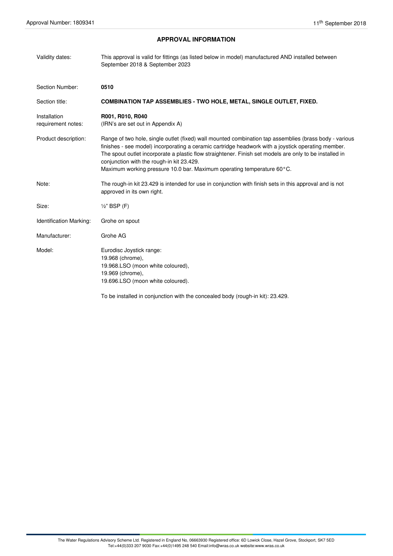# **APPROVAL INFORMATION**

| Validity dates:                    | This approval is valid for fittings (as listed below in model) manufactured AND installed between<br>September 2018 & September 2023                                                                                                                                                                                                                                                                                                           |
|------------------------------------|------------------------------------------------------------------------------------------------------------------------------------------------------------------------------------------------------------------------------------------------------------------------------------------------------------------------------------------------------------------------------------------------------------------------------------------------|
| Section Number:                    | 0510                                                                                                                                                                                                                                                                                                                                                                                                                                           |
| Section title:                     | <b>COMBINATION TAP ASSEMBLIES - TWO HOLE, METAL, SINGLE OUTLET, FIXED.</b>                                                                                                                                                                                                                                                                                                                                                                     |
| Installation<br>requirement notes: | R001, R010, R040<br>(IRN's are set out in Appendix A)                                                                                                                                                                                                                                                                                                                                                                                          |
| Product description:               | Range of two hole, single outlet (fixed) wall mounted combination tap assemblies (brass body - various<br>finishes - see model) incorporating a ceramic cartridge headwork with a joystick operating member.<br>The spout outlet incorporate a plastic flow straightener. Finish set models are only to be installed in<br>conjunction with the rough-in kit 23.429.<br>Maximum working pressure 10.0 bar. Maximum operating temperature 60°C. |
| Note:                              | The rough-in kit 23.429 is intended for use in conjunction with finish sets in this approval and is not<br>approved in its own right.                                                                                                                                                                                                                                                                                                          |
| Size:                              | $\frac{1}{2}$ " BSP (F)                                                                                                                                                                                                                                                                                                                                                                                                                        |
| Identification Marking:            | Grohe on spout                                                                                                                                                                                                                                                                                                                                                                                                                                 |
| Manufacturer:                      | Grohe AG                                                                                                                                                                                                                                                                                                                                                                                                                                       |
| Model:                             | Eurodisc Joystick range:<br>19.968 (chrome),<br>19.968.LSO (moon white coloured),<br>19.969 (chrome),<br>19.696.LSO (moon white coloured).<br>To be installed in conjunction with the concealed body (rough-in kit): 23.429.                                                                                                                                                                                                                   |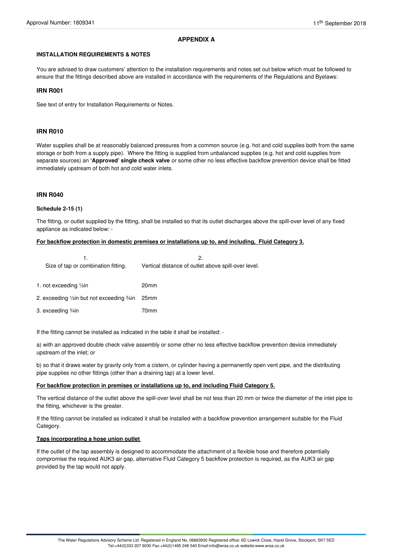# **APPENDIX A**

## **INSTALLATION REQUIREMENTS & NOTES**

You are advised to draw customers' attention to the installation requirements and notes set out below which must be followed to ensure that the fittings described above are installed in accordance with the requirements of the Regulations and Byelaws:

## **IRN R001**

See text of entry for Installation Requirements or Notes.

#### **IRN R010**

Water supplies shall be at reasonably balanced pressures from a common source (e.g. hot and cold supplies both from the same storage or both from a supply pipe). Where the fitting is supplied from unbalanced supplies (e.g. hot and cold supplies from separate sources) an **'Approved' single check valve** or some other no less effective backflow prevention device shall be fitted immediately upstream of both hot and cold water inlets.

#### **IRN R040**

#### **Schedule 2-15 (1)**

The fitting, or outlet supplied by the fitting, shall be installed so that its outlet discharges above the spill-over level of any fixed appliance as indicated below: -

## **For backflow protection in domestic premises or installations up to, and including, Fluid Category 3.**

|                                                 | 2.                                                  |
|-------------------------------------------------|-----------------------------------------------------|
| Size of tap or combination fitting.             | Vertical distance of outlet above spill-over level. |
|                                                 |                                                     |
| 1. not exceeding 1/2in                          | 20 <sub>mm</sub>                                    |
|                                                 |                                                     |
| 2. exceeding 1/2in but not exceeding 3/4in 25mm |                                                     |
| 3. exceeding ¾in                                | 70mm                                                |
|                                                 |                                                     |

If the fitting cannot be installed as indicated in the table it shall be installed: -

a) with an approved double check valve assembly or some other no less effective backflow prevention device immediately upstream of the inlet; or

b) so that it draws water by gravity only from a cistern, or cylinder having a permanently open vent pipe, and the distributing pipe supplies no other fittings (other than a draining tap) at a lower level.

#### **For backflow protection in premises or installations up to, and including Fluid Category 5.**

The vertical distance of the outlet above the spill-over level shall be not less than 20 mm or twice the diameter of the inlet pipe to the fitting, whichever is the greater.

If the fitting cannot be installed as indicated it shall be installed with a backflow prevention arrangement suitable for the Fluid Category.

#### **Taps incorporating a hose union outlet**

If the outlet of the tap assembly is designed to accommodate the attachment of a flexible hose and therefore potentially compromise the required AUK3 air gap, alternative Fluid Category 5 backflow protection is required, as the AUK3 air gap provided by the tap would not apply.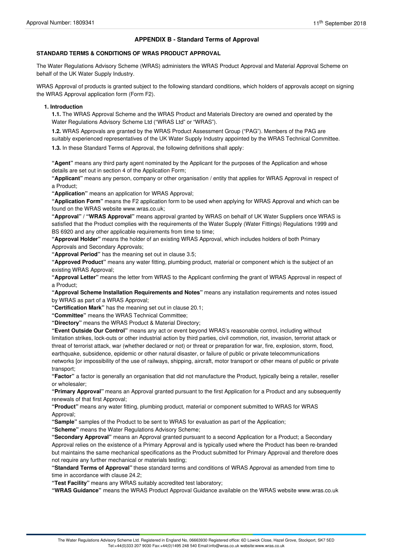# **APPENDIX B - Standard Terms of Approval**

#### **STANDARD TERMS & CONDITIONS OF WRAS PRODUCT APPROVAL**

The Water Regulations Advisory Scheme (WRAS) administers the WRAS Product Approval and Material Approval Scheme on behalf of the UK Water Supply Industry.

WRAS Approval of products is granted subject to the following standard conditions, which holders of approvals accept on signing the WRAS Approval application form (Form F2).

#### **1. Introduction**

**1.1.** The WRAS Approval Scheme and the WRAS Product and Materials Directory are owned and operated by the Water Regulations Advisory Scheme Ltd ("WRAS Ltd" or "WRAS").

**1.2.** WRAS Approvals are granted by the WRAS Product Assessment Group ("PAG"). Members of the PAG are suitably experienced representatives of the UK Water Supply Industry appointed by the WRAS Technical Committee.

**1.3.** In these Standard Terms of Approval, the following definitions shall apply:

**"Agent"** means any third party agent nominated by the Applicant for the purposes of the Application and whose details are set out in section 4 of the Application Form;

**"Applicant"** means any person, company or other organisation / entity that applies for WRAS Approval in respect of a Product;

**"Application"** means an application for WRAS Approval;

**"Application Form"** means the F2 application form to be used when applying for WRAS Approval and which can be found on the WRAS website www.wras.co.uk;

**"Approval" / "WRAS Approval"** means approval granted by WRAS on behalf of UK Water Suppliers once WRAS is satisfied that the Product complies with the requirements of the Water Supply (Water Fittings) Regulations 1999 and BS 6920 and any other applicable requirements from time to time;

**"Approval Holder"** means the holder of an existing WRAS Approval, which includes holders of both Primary Approvals and Secondary Approvals;

**"Approval Period"** has the meaning set out in clause 3.5;

**"Approved Product"** means any water fitting, plumbing product, material or component which is the subject of an existing WRAS Approval;

**"Approval Letter"** means the letter from WRAS to the Applicant confirming the grant of WRAS Approval in respect of a Product;

**"Approval Scheme Installation Requirements and Notes"** means any installation requirements and notes issued by WRAS as part of a WRAS Approval;

**"Certification Mark"** has the meaning set out in clause 20.1;

**"Committee"** means the WRAS Technical Committee;

**"Directory"** means the WRAS Product & Material Directory;

**"Event Outside Our Control"** means any act or event beyond WRAS's reasonable control, including without limitation strikes, lock-outs or other industrial action by third parties, civil commotion, riot, invasion, terrorist attack or threat of terrorist attack, war (whether declared or not) or threat or preparation for war, fire, explosion, storm, flood, earthquake, subsidence, epidemic or other natural disaster, or failure of public or private telecommunications networks [or impossibility of the use of railways, shipping, aircraft, motor transport or other means of public or private transport;

**"Factor"** a factor is generally an organisation that did not manufacture the Product, typically being a retailer, reseller or wholesaler;

**"Primary Approval"** means an Approval granted pursuant to the first Application for a Product and any subsequently renewals of that first Approval;

**"Product"** means any water fitting, plumbing product, material or component submitted to WRAS for WRAS Approval;

**"Sample"** samples of the Product to be sent to WRAS for evaluation as part of the Application;

**"Scheme"** means the Water Regulations Advisory Scheme;

**"Secondary Approval"** means an Approval granted pursuant to a second Application for a Product; a Secondary Approval relies on the existence of a Primary Approval and is typically used where the Product has been re-branded but maintains the same mechanical specifications as the Product submitted for Primary Approval and therefore does not require any further mechanical or materials testing;

**"Standard Terms of Approval"** these standard terms and conditions of WRAS Approval as amended from time to time in accordance with clause 24.2;

**"Test Facility"** means any WRAS suitably accredited test laboratory;

**"WRAS Guidance"** means the WRAS Product Approval Guidance available on the WRAS website www.wras.co.uk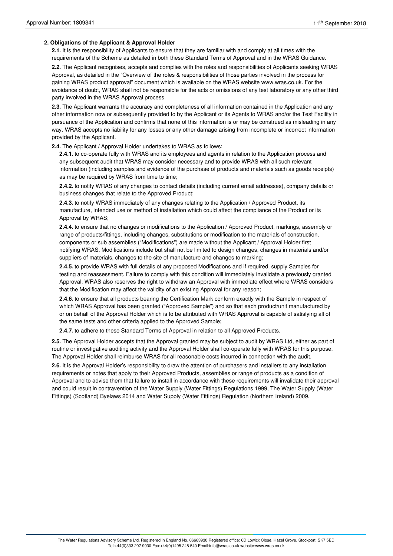#### **2. Obligations of the Applicant & Approval Holder**

**2.1.** It is the responsibility of Applicants to ensure that they are familiar with and comply at all times with the requirements of the Scheme as detailed in both these Standard Terms of Approval and in the WRAS Guidance.

**2.2.** The Applicant recognises, accepts and complies with the roles and responsibilities of Applicants seeking WRAS Approval, as detailed in the "Overview of the roles & responsibilities of those parties involved in the process for gaining WRAS product approval" document which is available on the WRAS website www.wras.co.uk. For the avoidance of doubt, WRAS shall not be responsible for the acts or omissions of any test laboratory or any other third party involved in the WRAS Approval process.

**2.3.** The Applicant warrants the accuracy and completeness of all information contained in the Application and any other information now or subsequently provided to by the Applicant or its Agents to WRAS and/or the Test Facility in pursuance of the Application and confirms that none of this information is or may be construed as misleading in any way. WRAS accepts no liability for any losses or any other damage arising from incomplete or incorrect information provided by the Applicant.

**2.4.** The Applicant / Approval Holder undertakes to WRAS as follows:

**2.4.1.** to co-operate fully with WRAS and its employees and agents in relation to the Application process and any subsequent audit that WRAS may consider necessary and to provide WRAS with all such relevant information (including samples and evidence of the purchase of products and materials such as goods receipts) as may be required by WRAS from time to time;

**2.4.2.** to notify WRAS of any changes to contact details (including current email addresses), company details or business changes that relate to the Approved Product;

**2.4.3.** to notify WRAS immediately of any changes relating to the Application / Approved Product, its manufacture, intended use or method of installation which could affect the compliance of the Product or its Approval by WRAS;

**2.4.4.** to ensure that no changes or modifications to the Application / Approved Product, markings, assembly or range of products/fittings, including changes, substitutions or modification to the materials of construction, components or sub assemblies ("Modifications") are made without the Applicant / Approval Holder first notifying WRAS. Modifications include but shall not be limited to design changes, changes in materials and/or suppliers of materials, changes to the site of manufacture and changes to marking;

**2.4.5.** to provide WRAS with full details of any proposed Modifications and if required, supply Samples for testing and reassessment. Failure to comply with this condition will immediately invalidate a previously granted Approval. WRAS also reserves the right to withdraw an Approval with immediate effect where WRAS considers that the Modification may affect the validity of an existing Approval for any reason;

**2.4.6.** to ensure that all products bearing the Certification Mark conform exactly with the Sample in respect of which WRAS Approval has been granted ("Approved Sample") and so that each product/unit manufactured by or on behalf of the Approval Holder which is to be attributed with WRAS Approval is capable of satisfying all of the same tests and other criteria applied to the Approved Sample;

**2.4.7.** to adhere to these Standard Terms of Approval in relation to all Approved Products.

**2.5.** The Approval Holder accepts that the Approval granted may be subject to audit by WRAS Ltd, either as part of routine or investigative auditing activity and the Approval Holder shall co-operate fully with WRAS for this purpose. The Approval Holder shall reimburse WRAS for all reasonable costs incurred in connection with the audit.

**2.6.** It is the Approval Holder's responsibility to draw the attention of purchasers and installers to any installation requirements or notes that apply to their Approved Products, assemblies or range of products as a condition of Approval and to advise them that failure to install in accordance with these requirements will invalidate their approval and could result in contravention of the Water Supply (Water Fittings) Regulations 1999, The Water Supply (Water Fittings) (Scotland) Byelaws 2014 and Water Supply (Water Fittings) Regulation (Northern Ireland) 2009.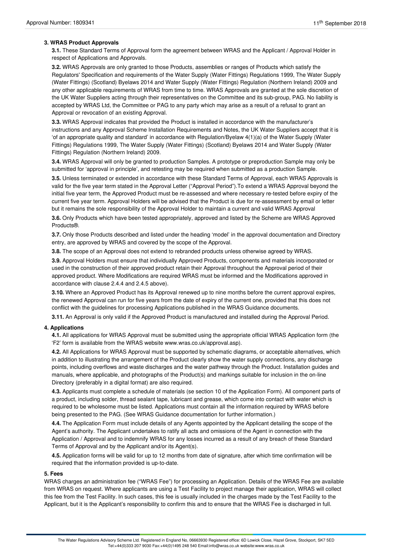## **3. WRAS Product Approvals**

**3.1.** These Standard Terms of Approval form the agreement between WRAS and the Applicant / Approval Holder in respect of Applications and Approvals.

**3.2.** WRAS Approvals are only granted to those Products, assemblies or ranges of Products which satisfy the Regulators' Specification and requirements of the Water Supply (Water Fittings) Regulations 1999, The Water Supply (Water Fittings) (Scotland) Byelaws 2014 and Water Supply (Water Fittings) Regulation (Northern Ireland) 2009 and any other applicable requirements of WRAS from time to time. WRAS Approvals are granted at the sole discretion of the UK Water Suppliers acting through their representatives on the Committee and its sub-group, PAG. No liability is accepted by WRAS Ltd, the Committee or PAG to any party which may arise as a result of a refusal to grant an Approval or revocation of an existing Approval.

**3.3.** WRAS Approval indicates that provided the Product is installed in accordance with the manufacturer's instructions and any Approval Scheme Installation Requirements and Notes, the UK Water Suppliers accept that it is 'of an appropriate quality and standard' in accordance with Regulation/Byelaw 4(1)(a) of the Water Supply (Water Fittings) Regulations 1999, The Water Supply (Water Fittings) (Scotland) Byelaws 2014 and Water Supply (Water Fittings) Regulation (Northern Ireland) 2009.

**3.4.** WRAS Approval will only be granted to production Samples. A prototype or preproduction Sample may only be submitted for 'approval in principle', and retesting may be required when submitted as a production Sample.

**3.5.** Unless terminated or extended in accordance with these Standard Terms of Approval, each WRAS Approvals is valid for the five year term stated in the Approval Letter ("Approval Period").To extend a WRAS Approval beyond the initial five year term, the Approved Product must be re-assessed and where necessary re-tested before expiry of the current five year term. Approval Holders will be advised that the Product is due for re-assessment by email or letter but it remains the sole responsibility of the Approval Holder to maintain a current and valid WRAS Approval

**3.6.** Only Products which have been tested appropriately, approved and listed by the Scheme are WRAS Approved Products®.

**3.7.** Only those Products described and listed under the heading 'model' in the approval documentation and Directory entry, are approved by WRAS and covered by the scope of the Approval.

**3.8.** The scope of an Approval does not extend to rebranded products unless otherwise agreed by WRAS.

**3.9.** Approval Holders must ensure that individually Approved Products, components and materials incorporated or used in the construction of their approved product retain their Approval throughout the Approval period of their approved product. Where Modifications are required WRAS must be informed and the Modifications approved in accordance with clause 2.4.4 and 2.4.5 above).

**3.10.** Where an Approved Product has its Approval renewed up to nine months before the current approval expires, the renewed Approval can run for five years from the date of expiry of the current one, provided that this does not conflict with the guidelines for processing Applications published in the WRAS Guidance documents.

**3.11.** An Approval is only valid if the Approved Product is manufactured and installed during the Approval Period.

#### **4. Applications**

**4.1.** All applications for WRAS Approval must be submitted using the appropriate official WRAS Application form (the 'F2' form is available from the WRAS website www.wras.co.uk/approval.asp).

**4.2.** All Applications for WRAS Approval must be supported by schematic diagrams, or acceptable alternatives, which in addition to illustrating the arrangement of the Product clearly show the water supply connections, any discharge points, including overflows and waste discharges and the water pathway through the Product. Installation guides and manuals, where applicable, and photographs of the Product(s) and markings suitable for inclusion in the on-line Directory (preferably in a digital format) are also required.

**4.3.** Applicants must complete a schedule of materials (se section 10 of the Application Form). All component parts of a product, including solder, thread sealant tape, lubricant and grease, which come into contact with water which is required to be wholesome must be listed. Applications must contain all the information required by WRAS before being presented to the PAG. (See WRAS Guidance documentation for further information.)

**4.4.** The Application Form must include details of any Agents appointed by the Applicant detailing the scope of the Agent's authority. The Applicant undertakes to ratify all acts and omissions of the Agent in connection with the Application / Approval and to indemnify WRAS for any losses incurred as a result of any breach of these Standard Terms of Approval and by the Applicant and/or its Agent(s).

**4.5.** Application forms will be valid for up to 12 months from date of signature, after which time confirmation will be required that the information provided is up-to-date.

#### **5. Fees**

WRAS charges an administration fee ("WRAS Fee") for processing an Application. Details of the WRAS Fee are available from WRAS on request. Where applicants are using a Test Facility to project manage their application, WRAS will collect this fee from the Test Facility. In such cases, this fee is usually included in the charges made by the Test Facility to the Applicant, but it is the Applicant's responsibility to confirm this and to ensure that the WRAS Fee is discharged in full.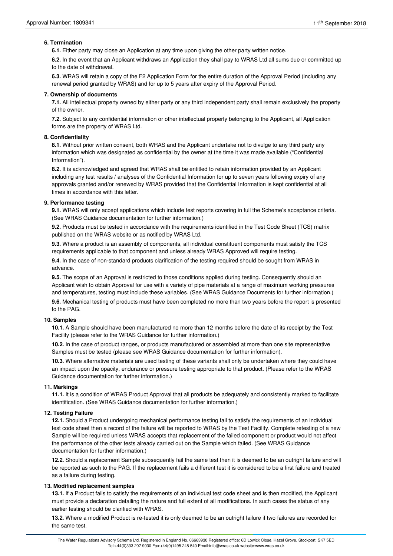## **6. Termination**

**6.1.** Either party may close an Application at any time upon giving the other party written notice.

**6.2.** In the event that an Applicant withdraws an Application they shall pay to WRAS Ltd all sums due or committed up to the date of withdrawal.

**6.3.** WRAS will retain a copy of the F2 Application Form for the entire duration of the Approval Period (including any renewal period granted by WRAS) and for up to 5 years after expiry of the Approval Period.

#### **7. Ownership of documents**

**7.1.** All intellectual property owned by either party or any third independent party shall remain exclusively the property of the owner.

**7.2.** Subject to any confidential information or other intellectual property belonging to the Applicant, all Application forms are the property of WRAS Ltd.

### **8. Confidentiality**

**8.1.** Without prior written consent, both WRAS and the Applicant undertake not to divulge to any third party any information which was designated as confidential by the owner at the time it was made available ("Confidential Information").

**8.2.** It is acknowledged and agreed that WRAS shall be entitled to retain information provided by an Applicant including any test results / analyses of the Confidential Information for up to seven years following expiry of any approvals granted and/or renewed by WRAS provided that the Confidential Information is kept confidential at all times in accordance with this letter.

#### **9. Performance testing**

**9.1.** WRAS will only accept applications which include test reports covering in full the Scheme's acceptance criteria. (See WRAS Guidance documentation for further information.)

**9.2.** Products must be tested in accordance with the requirements identified in the Test Code Sheet (TCS) matrix published on the WRAS website or as notified by WRAS Ltd.

**9.3.** Where a product is an assembly of components, all individual constituent components must satisfy the TCS requirements applicable to that component and unless already WRAS Approved will require testing.

**9.4.** In the case of non-standard products clarification of the testing required should be sought from WRAS in advance.

**9.5.** The scope of an Approval is restricted to those conditions applied during testing. Consequently should an Applicant wish to obtain Approval for use with a variety of pipe materials at a range of maximum working pressures and temperatures, testing must include these variables. (See WRAS Guidance Documents for further information.) **9.6.** Mechanical testing of products must have been completed no more than two years before the report is presented to the PAG.

#### **10. Samples**

**10.1.** A Sample should have been manufactured no more than 12 months before the date of its receipt by the Test Facility (please refer to the WRAS Guidance for further information.)

**10.2.** In the case of product ranges, or products manufactured or assembled at more than one site representative Samples must be tested (please see WRAS Guidance documentation for further information).

**10.3.** Where alternative materials are used testing of these variants shall only be undertaken where they could have an impact upon the opacity, endurance or pressure testing appropriate to that product. (Please refer to the WRAS Guidance documentation for further information.)

#### **11. Markings**

**11.1.** It is a condition of WRAS Product Approval that all products be adequately and consistently marked to facilitate identification. (See WRAS Guidance documentation for further information.)

#### **12. Testing Failure**

**12.1.** Should a Product undergoing mechanical performance testing fail to satisfy the requirements of an individual test code sheet then a record of the failure will be reported to WRAS by the Test Facility. Complete retesting of a new Sample will be required unless WRAS accepts that replacement of the failed component or product would not affect the performance of the other tests already carried out on the Sample which failed. (See WRAS Guidance documentation for further information.)

**12.2.** Should a replacement Sample subsequently fail the same test then it is deemed to be an outright failure and will be reported as such to the PAG. If the replacement fails a different test it is considered to be a first failure and treated as a failure during testing.

#### **13. Modified replacement samples**

**13.1.** If a Product fails to satisfy the requirements of an individual test code sheet and is then modified, the Applicant must provide a declaration detailing the nature and full extent of all modifications. In such cases the status of any earlier testing should be clarified with WRAS.

**13.2.** Where a modified Product is re-tested it is only deemed to be an outright failure if two failures are recorded for the same test.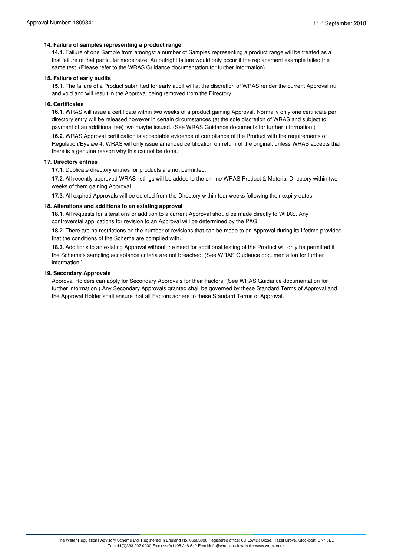### **14. Failure of samples representing a product range**

**14.1.** Failure of one Sample from amongst a number of Samples representing a product range will be treated as a first failure of that particular model/size. An outright failure would only occur if the replacement example failed the same test. (Please refer to the WRAS Guidance documentation for further information).

#### **15. Failure of early audits**

**15.1.** The failure of a Product submitted for early audit will at the discretion of WRAS render the current Approval null and void and will result in the Approval being removed from the Directory.

## **16. Certificates**

**16.1.** WRAS will issue a certificate within two weeks of a product gaining Approval. Normally only one certificate per directory entry will be released however in certain circumstances (at the sole discretion of WRAS and subject to payment of an additional fee) two maybe issued. (See WRAS Guidance documents for further information.)

**16.2.** WRAS Approval certification is acceptable evidence of compliance of the Product with the requirements of Regulation/Byelaw 4. WRAS will only issue amended certification on return of the original, unless WRAS accepts that there is a genuine reason why this cannot be done.

#### **17. Directory entries**

**17.1.** Duplicate directory entries for products are not permitted.

**17.2.** All recently approved WRAS listings will be added to the on line WRAS Product & Material Directory within two weeks of them gaining Approval.

**17.3.** All expired Approvals will be deleted from the Directory within four weeks following their expiry dates.

#### **18. Alterations and additions to an existing approval**

**18.1.** All requests for alterations or addition to a current Approval should be made directly to WRAS. Any controversial applications for revision to an Approval will be determined by the PAG.

**18.2.** There are no restrictions on the number of revisions that can be made to an Approval during its lifetime provided that the conditions of the Scheme are complied with.

**18.3.** Additions to an existing Approval without the need for additional testing of the Product will only be permitted if the Scheme's sampling acceptance criteria are not breached. (See WRAS Guidance documentation for further information.)

#### **19. Secondary Approvals**

Approval Holders can apply for Secondary Approvals for their Factors. (See WRAS Guidance documentation for further information.) Any Secondary Approvals granted shall be governed by these Standard Terms of Approval and the Approval Holder shall ensure that all Factors adhere to these Standard Terms of Approval.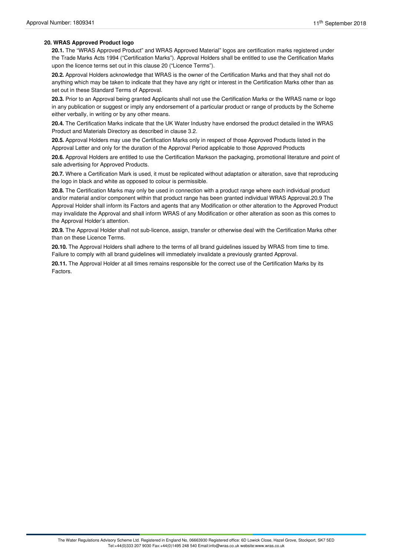## **20. WRAS Approved Product logo**

**20.1.** The "WRAS Approved Product" and WRAS Approved Material" logos are certification marks registered under the Trade Marks Acts 1994 ("Certification Marks"). Approval Holders shall be entitled to use the Certification Marks upon the licence terms set out in this clause 20 ("Licence Terms").

**20.2.** Approval Holders acknowledge that WRAS is the owner of the Certification Marks and that they shall not do anything which may be taken to indicate that they have any right or interest in the Certification Marks other than as set out in these Standard Terms of Approval.

**20.3.** Prior to an Approval being granted Applicants shall not use the Certification Marks or the WRAS name or logo in any publication or suggest or imply any endorsement of a particular product or range of products by the Scheme either verbally, in writing or by any other means.

**20.4.** The Certification Marks indicate that the UK Water Industry have endorsed the product detailed in the WRAS Product and Materials Directory as described in clause 3.2.

**20.5.** Approval Holders may use the Certification Marks only in respect of those Approved Products listed in the Approval Letter and only for the duration of the Approval Period applicable to those Approved Products

**20.6.** Approval Holders are entitled to use the Certification Markson the packaging, promotional literature and point of sale advertising for Approved Products.

**20.7.** Where a Certification Mark is used, it must be replicated without adaptation or alteration, save that reproducing the logo in black and white as opposed to colour is permissible.

**20.8.** The Certification Marks may only be used in connection with a product range where each individual product and/or material and/or component within that product range has been granted individual WRAS Approval.20.9 The Approval Holder shall inform its Factors and agents that any Modification or other alteration to the Approved Product may invalidate the Approval and shall inform WRAS of any Modification or other alteration as soon as this comes to the Approval Holder's attention.

**20.9.** The Approval Holder shall not sub-licence, assign, transfer or otherwise deal with the Certification Marks other than on these Licence Terms.

**20.10.** The Approval Holders shall adhere to the terms of all brand guidelines issued by WRAS from time to time. Failure to comply with all brand guidelines will immediately invalidate a previously granted Approval.

**20.11.** The Approval Holder at all times remains responsible for the correct use of the Certification Marks by its Factors.